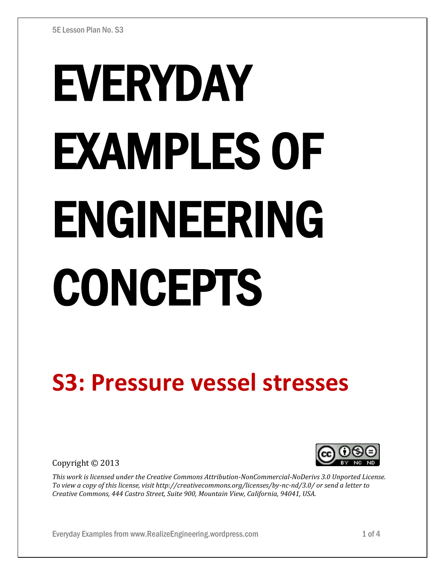# EVERYDAY EXAMPLES OF ENGINEERING CONCEPTS

## **S3: Pressure vessel stresses**

Copyright © 2013



*This work is licensed under the Creative Commons Attribution-NonCommercial-NoDerivs 3.0 Unported License. To view a copy of this license, visit http://creativecommons.org/licenses/by-nc-nd/3.0/ or send a letter to Creative Commons, 444 Castro Street, Suite 900, Mountain View, California, 94041, USA.*

Everyday Examples from www.RealizeEngineering.wordpress.com 1 of 4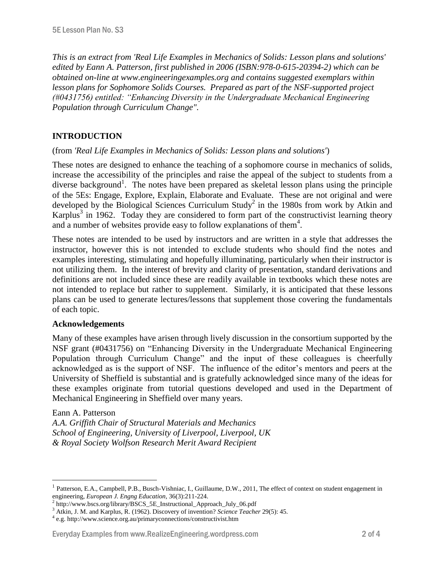*This is an extract from 'Real Life Examples in Mechanics of Solids: Lesson plans and solutions' edited by Eann A. Patterson, first published in 2006 (ISBN:978-0-615-20394-2) which can be obtained on-line at www.engineeringexamples.org and contains suggested exemplars within lesson plans for Sophomore Solids Courses. Prepared as part of the NSF-supported project (#0431756) entitled: "Enhancing Diversity in the Undergraduate Mechanical Engineering Population through Curriculum Change".* 

### **INTRODUCTION**

#### (from *'Real Life Examples in Mechanics of Solids: Lesson plans and solutions'*)

These notes are designed to enhance the teaching of a sophomore course in mechanics of solids, increase the accessibility of the principles and raise the appeal of the subject to students from a diverse background<sup>1</sup>. The notes have been prepared as skeletal lesson plans using the principle of the 5Es: Engage, Explore, Explain, Elaborate and Evaluate. These are not original and were developed by the Biological Sciences Curriculum Study<sup>2</sup> in the 1980s from work by Atkin and Karplus<sup>3</sup> in 1962. Today they are considered to form part of the constructivist learning theory and a number of websites provide easy to follow explanations of them<sup>4</sup>.

These notes are intended to be used by instructors and are written in a style that addresses the instructor, however this is not intended to exclude students who should find the notes and examples interesting, stimulating and hopefully illuminating, particularly when their instructor is not utilizing them. In the interest of brevity and clarity of presentation, standard derivations and definitions are not included since these are readily available in textbooks which these notes are not intended to replace but rather to supplement. Similarly, it is anticipated that these lessons plans can be used to generate lectures/lessons that supplement those covering the fundamentals of each topic.

#### **Acknowledgements**

Many of these examples have arisen through lively discussion in the consortium supported by the NSF grant (#0431756) on "Enhancing Diversity in the Undergraduate Mechanical Engineering Population through Curriculum Change" and the input of these colleagues is cheerfully acknowledged as is the support of NSF. The influence of the editor's mentors and peers at the University of Sheffield is substantial and is gratefully acknowledged since many of the ideas for these examples originate from tutorial questions developed and used in the Department of Mechanical Engineering in Sheffield over many years.

#### Eann A. Patterson

 $\overline{a}$ 

*A.A. Griffith Chair of Structural Materials and Mechanics School of Engineering, University of Liverpool, Liverpool, UK & Royal Society Wolfson Research Merit Award Recipient*

#### Everyday Examples from www.RealizeEngineering.wordpress.com 2 of 4

<sup>1</sup> Patterson, E.A., Campbell, P.B., Busch-Vishniac, I., Guillaume, D.W., 2011, The effect of context on student engagement in engineering, *European J. Engng Education*, 36(3):211-224.

<sup>&</sup>lt;sup>2</sup> http://www.bscs.org/library/BSCS\_5E\_Instructional\_Approach\_July\_06.pdf

<sup>3</sup> Atkin, J. M. and Karplus, R. (1962). Discovery of invention? *Science Teacher* 29(5): 45.

<sup>4</sup> e.g. http://www.science.org.au/primaryconnections/constructivist.htm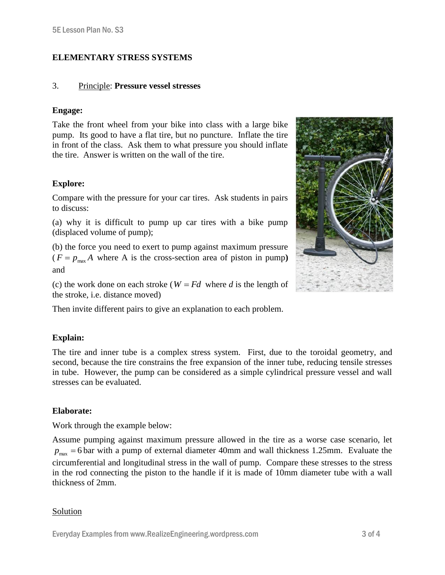#### **ELEMENTARY STRESS SYSTEMS**

#### 3. Principle: **Pressure vessel stresses**

#### **Engage:**

Take the front wheel from your bike into class with a large bike pump. Its good to have a flat tire, but no puncture. Inflate the tire in front of the class. Ask them to what pressure you should inflate the tire. Answer is written on the wall of the tire.

#### **Explore:**

Compare with the pressure for your car tires. Ask students in pairs to discuss:

(a) why it is difficult to pump up car tires with a bike pump (displaced volume of pump);

(b) the force you need to exert to pump against maximum pressure  $(F = p_{\text{max}} A$  where A is the cross-section area of piston in pump) and

(c) the work done on each stroke ( $W = Fd$  where *d* is the length of the stroke, i.e. distance moved)

Then invite different pairs to give an explanation to each problem.

#### **Explain:**

The tire and inner tube is a complex stress system. First, due to the toroidal geometry, and second, because the tire constrains the free expansion of the inner tube, reducing tensile stresses in tube. However, the pump can be considered as a simple cylindrical pressure vessel and wall stresses can be evaluated.

#### **Elaborate:**

Work through the example below:

Assume pumping against maximum pressure allowed in the tire as a worse case scenario, let  $p_{\text{max}} = 6$  bar with a pump of external diameter 40mm and wall thickness 1.25mm. Evaluate the circumferential and longitudinal stress in the wall of pump. Compare these stresses to the stress in the rod connecting the piston to the handle if it is made of 10mm diameter tube with a wall thickness of 2mm.

#### Solution